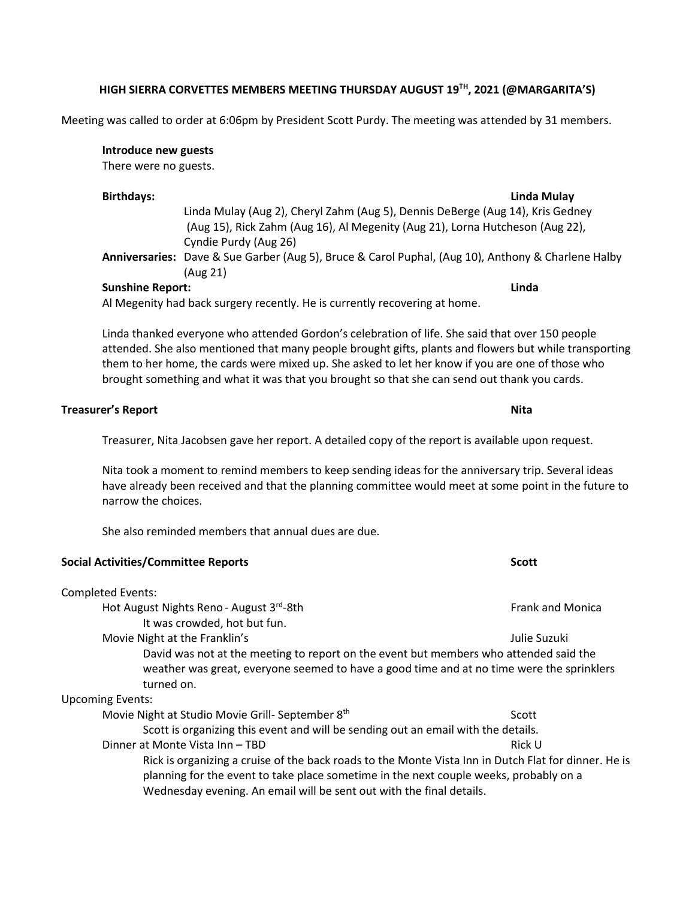# **HIGH SIERRA CORVETTES MEMBERS MEETING THURSDAY AUGUST 19 TH, 2021 (@MARGARITA'S)**

Meeting was called to order at 6:06pm by President Scott Purdy. The meeting was attended by 31 members.

## **Introduce new guests**

There were no guests.

#### **Birthdays: Linda Mulay**

Linda Mulay (Aug 2), Cheryl Zahm (Aug 5), Dennis DeBerge (Aug 14), Kris Gedney (Aug 15), Rick Zahm (Aug 16), Al Megenity (Aug 21), Lorna Hutcheson (Aug 22), Cyndie Purdy (Aug 26)

**Anniversaries:** Dave & Sue Garber (Aug 5), Bruce & Carol Puphal, (Aug 10), Anthony & Charlene Halby (Aug 21)

## **Sunshine Report: Linda**

Al Megenity had back surgery recently. He is currently recovering at home.

Linda thanked everyone who attended Gordon's celebration of life. She said that over 150 people attended. She also mentioned that many people brought gifts, plants and flowers but while transporting them to her home, the cards were mixed up. She asked to let her know if you are one of those who brought something and what it was that you brought so that she can send out thank you cards.

### **Treasurer's Report Nita**

Treasurer, Nita Jacobsen gave her report. A detailed copy of the report is available upon request.

Nita took a moment to remind members to keep sending ideas for the anniversary trip. Several ideas have already been received and that the planning committee would meet at some point in the future to narrow the choices.

She also reminded members that annual dues are due.

## **Social Activities/Committee Reports Scott**

# Completed Events: Hot August Nights Reno - August 3rd-8th Frank and Monica It was crowded, hot but fun. Movie Night at the Franklin's Julie Suzuki David was not at the meeting to report on the event but members who attended said the weather was great, everyone seemed to have a good time and at no time were the sprinklers turned on. Upcoming Events: Movie Night at Studio Movie Grill- September 8<sup>th</sup> Scott Scott Scott is organizing this event and will be sending out an email with the details. Dinner at Monte Vista Inn – TBD Rick U Rick is organizing a cruise of the back roads to the Monte Vista Inn in Dutch Flat for dinner. He is planning for the event to take place sometime in the next couple weeks, probably on a

Wednesday evening. An email will be sent out with the final details.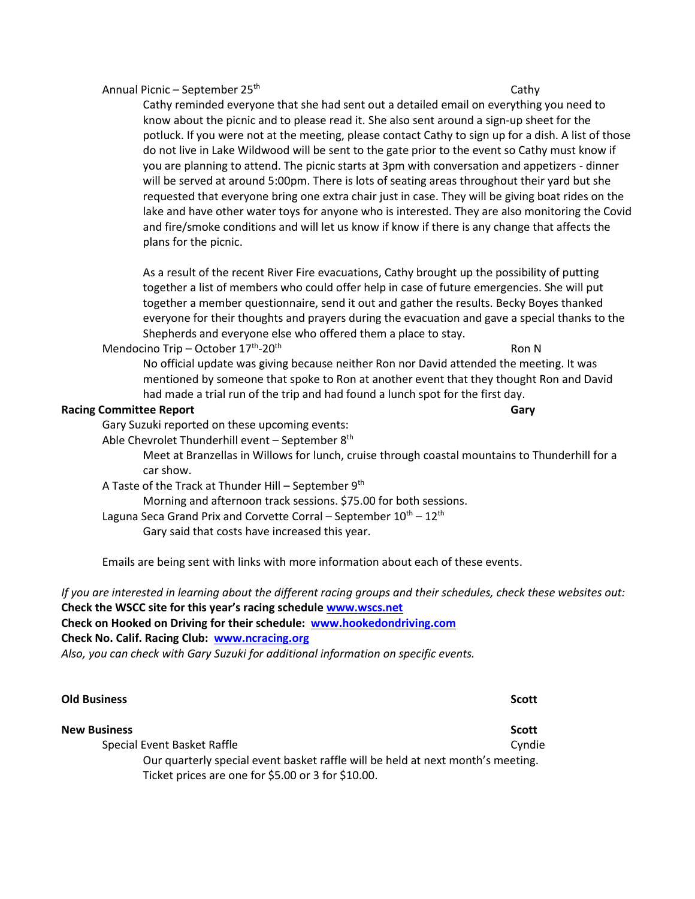### Annual Picnic – September 25

## th Cathy Cathy Cathy Cathy Cathy Cathy Cathy Cathy Cathy Cathy Cathy Cathy Cathy Cathy Cathy Cathy Cathy Cathy Cathy Cathy Cathy Cathy Cathy Cathy Cathy Cathy Cathy Cathy Cathy Cathy Cathy Cathy Cathy Cathy Cathy Cathy Cat

Cathy reminded everyone that she had sent out a detailed email on everything you need to know about the picnic and to please read it. She also sent around a sign-up sheet for the potluck. If you were not at the meeting, please contact Cathy to sign up for a dish. A list of those do not live in Lake Wildwood will be sent to the gate prior to the event so Cathy must know if you are planning to attend. The picnic starts at 3pm with conversation and appetizers - dinner will be served at around 5:00pm. There is lots of seating areas throughout their yard but she requested that everyone bring one extra chair just in case. They will be giving boat rides on the lake and have other water toys for anyone who is interested. They are also monitoring the Covid and fire/smoke conditions and will let us know if know if there is any change that affects the plans for the picnic.

As a result of the recent River Fire evacuations, Cathy brought up the possibility of putting together a list of members who could offer help in case of future emergencies. She will put together a member questionnaire, send it out and gather the results. Becky Boyes thanked everyone for their thoughts and prayers during the evacuation and gave a special thanks to the Shepherds and everyone else who offered them a place to stay.

Mendocino Trip – October  $17<sup>th</sup>$ -20<sup>th</sup>

 $-20^{\text{th}}$  Ron N

No official update was giving because neither Ron nor David attended the meeting. It was mentioned by someone that spoke to Ron at another event that they thought Ron and David had made a trial run of the trip and had found a lunch spot for the first day.

### **Racing Committee Report Gary**

Gary Suzuki reported on these upcoming events:

Able Chevrolet Thunderhill event – September 8<sup>th</sup>

Meet at Branzellas in Willows for lunch, cruise through coastal mountains to Thunderhill for a car show.

A Taste of the Track at Thunder Hill – September  $9<sup>th</sup>$ 

Morning and afternoon track sessions. \$75.00 for both sessions.

Laguna Seca Grand Prix and Corvette Corral – September  $10^{th}$  –  $12^{th}$ 

Gary said that costs have increased this year.

Emails are being sent with links with more information about each of these events.

*If you are interested in learning about the different racing groups and their schedules, check these websites out:* **Check the WSCC site for this year's racing schedule [www.wscs.net](http://www.wscs.net/)**

**Check on Hooked on Driving for their schedule: [www.hookedondriving.com](http://www.hookedondriving.com/) Check No. Calif. Racing Club: [www.ncracing.org](http://www.ncracing.org/)** *Also, you can check with Gary Suzuki for additional information on specific events.*

| <b>Old Business</b>                                                                                                                   | <b>Scott</b> |
|---------------------------------------------------------------------------------------------------------------------------------------|--------------|
| <b>New Business</b>                                                                                                                   | <b>Scott</b> |
| Special Event Basket Raffle                                                                                                           | Cyndie       |
| Our quarterly special event basket raffle will be held at next month's meeting.<br>Ticket prices are one for \$5.00 or 3 for \$10.00. |              |